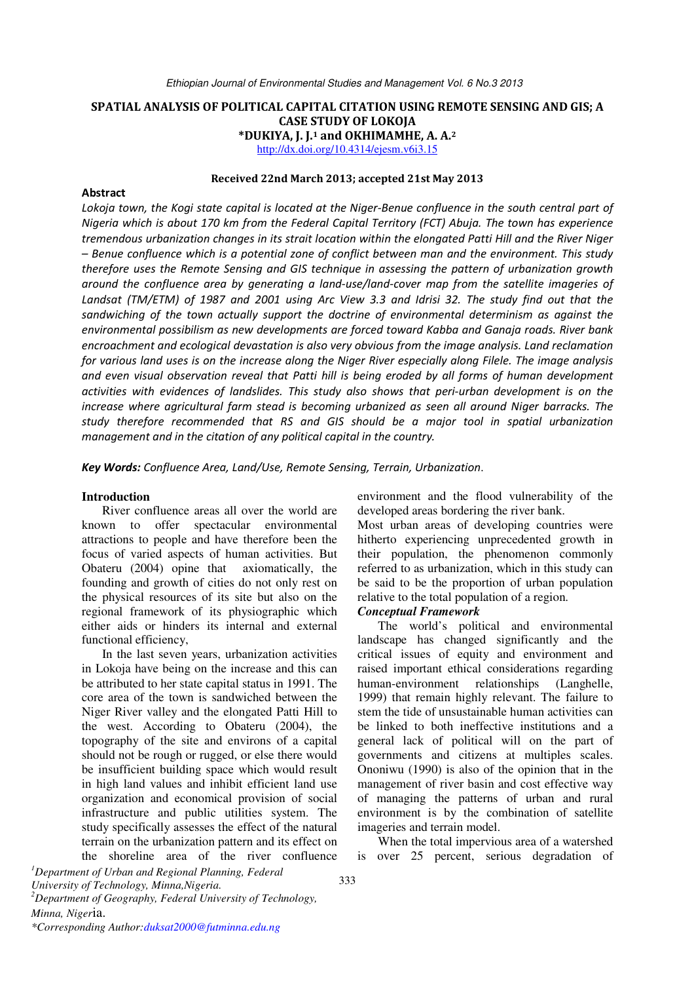## SPATIAL ANALYSIS OF POLITICAL CAPITAL CITATION USING REMOTE SENSING AND GIS; A CASE STUDY OF LOKOJA \*DUKIYA, J. J.1 and OKHIMAMHE, A. A.<sup>2</sup>

http://dx.doi.org/10.4314/ejesm.v6i3.15

#### Received 22nd March 2013; accepted 21st May 2013

#### Abstract

Lokoja town, the Kogi state capital is located at the Niger-Benue confluence in the south central part of Nigeria which is about 170 km from the Federal Capital Territory (FCT) Abuja. The town has experience tremendous urbanization changes in its strait location within the elongated Patti Hill and the River Niger – Benue confluence which is a potential zone of conflict between man and the environment. This study therefore uses the Remote Sensing and GIS technique in assessing the pattern of urbanization growth around the confluence area by generating a land-use/land-cover map from the satellite imageries of Landsat (TM/ETM) of 1987 and 2001 using Arc View 3.3 and Idrisi 32. The study find out that the sandwiching of the town actually support the doctrine of environmental determinism as against the environmental possibilism as new developments are forced toward Kabba and Ganaja roads. River bank encroachment and ecological devastation is also very obvious from the image analysis. Land reclamation for various land uses is on the increase along the Niger River especially along Filele. The image analysis and even visual observation reveal that Patti hill is being eroded by all forms of human development activities with evidences of landslides. This study also shows that peri-urban development is on the increase where agricultural farm stead is becoming urbanized as seen all around Niger barracks. The study therefore recommended that RS and GIS should be a major tool in spatial urbanization management and in the citation of any political capital in the country.

Key Words: Confluence Area, Land/Use, Remote Sensing, Terrain, Urbanization.

#### **Introduction**

River confluence areas all over the world are known to offer spectacular environmental attractions to people and have therefore been the focus of varied aspects of human activities. But Obateru (2004) opine that axiomatically, the founding and growth of cities do not only rest on the physical resources of its site but also on the regional framework of its physiographic which either aids or hinders its internal and external functional efficiency,

In the last seven years, urbanization activities in Lokoja have being on the increase and this can be attributed to her state capital status in 1991. The core area of the town is sandwiched between the Niger River valley and the elongated Patti Hill to the west. According to Obateru (2004), the topography of the site and environs of a capital should not be rough or rugged, or else there would be insufficient building space which would result in high land values and inhibit efficient land use organization and economical provision of social infrastructure and public utilities system. The study specifically assesses the effect of the natural terrain on the urbanization pattern and its effect on the shoreline area of the river confluence

environment and the flood vulnerability of the developed areas bordering the river bank.

Most urban areas of developing countries were hitherto experiencing unprecedented growth in their population, the phenomenon commonly referred to as urbanization, which in this study can be said to be the proportion of urban population relative to the total population of a region.

### *Conceptual Framework*

The world's political and environmental landscape has changed significantly and the critical issues of equity and environment and raised important ethical considerations regarding human-environment relationships (Langhelle, 1999) that remain highly relevant. The failure to stem the tide of unsustainable human activities can be linked to both ineffective institutions and a general lack of political will on the part of governments and citizens at multiples scales. Ononiwu (1990) is also of the opinion that in the management of river basin and cost effective way of managing the patterns of urban and rural environment is by the combination of satellite imageries and terrain model.

When the total impervious area of a watershed is over 25 percent, serious degradation of

*<sup>2</sup>Department of Geography, Federal University of Technology, Minna, Niger*ia.

*\*Corresponding Author:duksat2000@futminna.edu.ng*

*<sup>1</sup>Department of Urban and Regional Planning, Federal University of Technology, Minna,Nigeria.*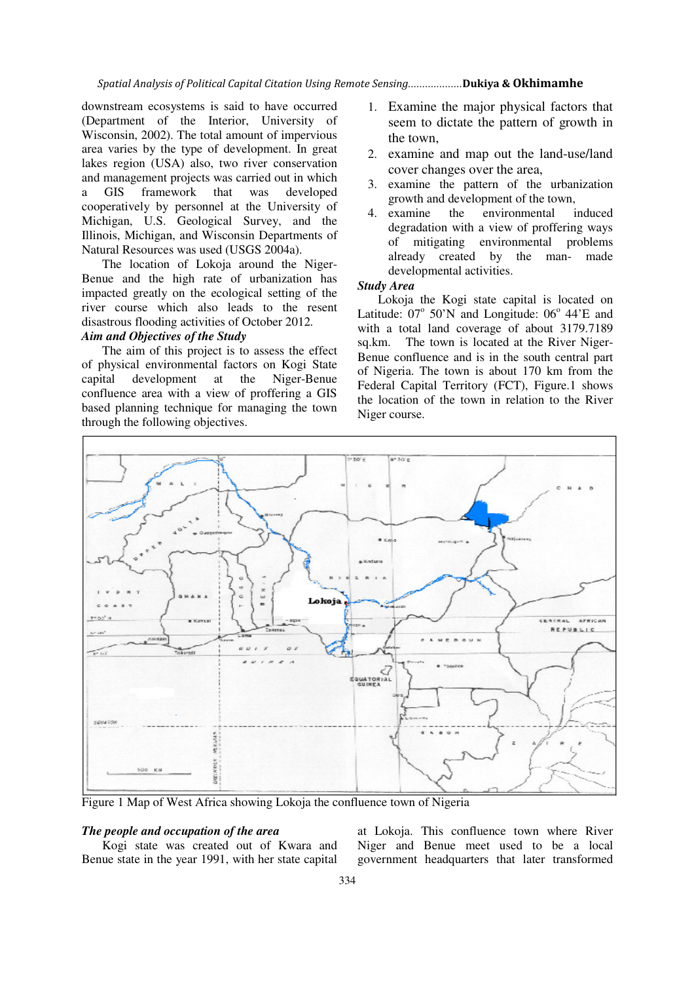Spatial Analysis of Political Capital Citation Using Remote Sensing*...................*Dukiya & Okhimamhe

downstream ecosystems is said to have occurred (Department of the Interior, University of Wisconsin, 2002). The total amount of impervious area varies by the type of development. In great lakes region (USA) also, two river conservation and management projects was carried out in which a GIS framework that was developed cooperatively by personnel at the University of Michigan, U.S. Geological Survey, and the Illinois, Michigan, and Wisconsin Departments of Natural Resources was used (USGS 2004a).

The location of Lokoja around the Niger-Benue and the high rate of urbanization has impacted greatly on the ecological setting of the river course which also leads to the resent disastrous flooding activities of October 2012.

# *Aim and Objectives of the Study*

The aim of this project is to assess the effect of physical environmental factors on Kogi State capital development at the Niger-Benue confluence area with a view of proffering a GIS based planning technique for managing the town through the following objectives.

- 1. Examine the major physical factors that seem to dictate the pattern of growth in the town,
- 2. examine and map out the land-use/land cover changes over the area,
- 3. examine the pattern of the urbanization growth and development of the town,
- 4. examine the environmental induced degradation with a view of proffering ways of mitigating environmental problems already created by the man- made developmental activities.

# *Study Area*

Lokoja the Kogi state capital is located on Latitude:  $07^{\circ}$  50'N and Longitude:  $06^{\circ}$  44'E and with a total land coverage of about 3179.7189 sq.km. The town is located at the River Niger-Benue confluence and is in the south central part of Nigeria. The town is about 170 km from the Federal Capital Territory (FCT), Figure.1 shows the location of the town in relation to the River Niger course.



Figure 1 Map of West Africa showing Lokoja the confluence town of Nigeria

#### *The people and occupation of the area*

Kogi state was created out of Kwara and Benue state in the year 1991, with her state capital

at Lokoja. This confluence town where River Niger and Benue meet used to be a local government headquarters that later transformed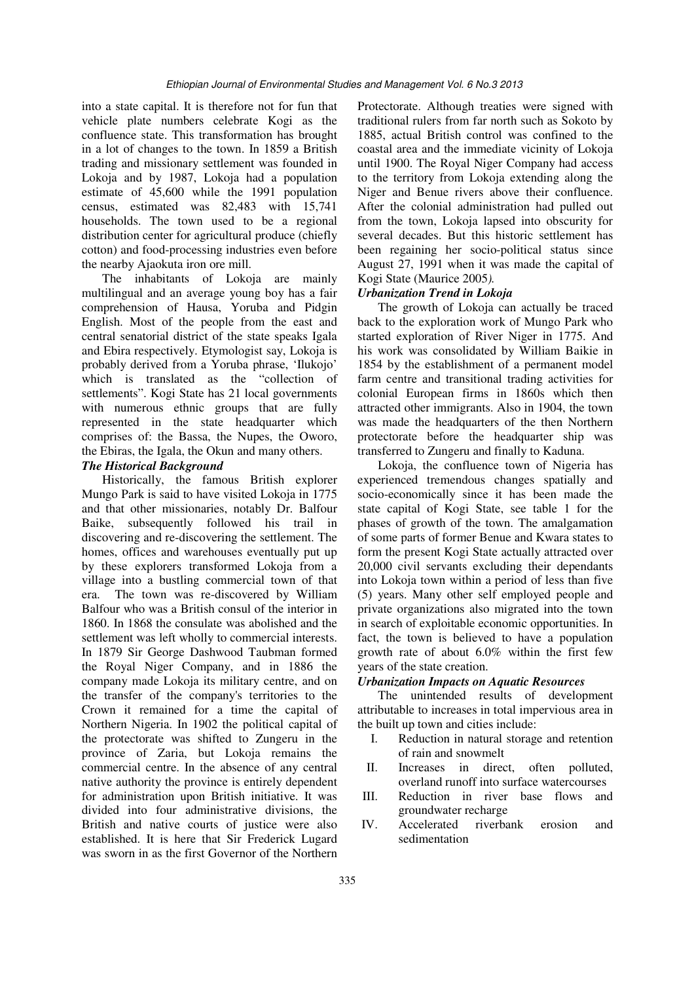into a state capital. It is therefore not for fun that vehicle plate numbers celebrate Kogi as the confluence state. This transformation has brought in a lot of changes to the town. In 1859 a British trading and missionary settlement was founded in Lokoja and by 1987, Lokoja had a population estimate of 45,600 while the 1991 population census, estimated was 82,483 with 15,741 households. The town used to be a regional distribution center for agricultural produce (chiefly cotton) and food-processing industries even before the nearby Ajaokuta iron ore mill.

The inhabitants of Lokoja are mainly multilingual and an average young boy has a fair comprehension of Hausa, Yoruba and Pidgin English. Most of the people from the east and central senatorial district of the state speaks Igala and Ebira respectively. Etymologist say, Lokoja is probably derived from a Yoruba phrase, 'Ilukojo' which is translated as the "collection of settlements". Kogi State has 21 local governments with numerous ethnic groups that are fully represented in the state headquarter which comprises of: the Bassa, the Nupes, the Oworo, the Ebiras, the Igala, the Okun and many others.

# *The Historical Background*

Historically, the famous British explorer Mungo Park is said to have visited Lokoja in 1775 and that other missionaries, notably Dr. Balfour Baike, subsequently followed his trail in discovering and re-discovering the settlement. The homes, offices and warehouses eventually put up by these explorers transformed Lokoja from a village into a bustling commercial town of that era. The town was re-discovered by William Balfour who was a British consul of the interior in 1860. In 1868 the consulate was abolished and the settlement was left wholly to commercial interests. In 1879 Sir George Dashwood Taubman formed the Royal Niger Company, and in 1886 the company made Lokoja its military centre, and on the transfer of the company's territories to the Crown it remained for a time the capital of Northern Nigeria. In 1902 the political capital of the protectorate was shifted to Zungeru in the province of Zaria, but Lokoja remains the commercial centre. In the absence of any central native authority the province is entirely dependent for administration upon British initiative. It was divided into four administrative divisions, the British and native courts of justice were also established. It is here that Sir Frederick Lugard was sworn in as the first Governor of the Northern

Protectorate. Although treaties were signed with traditional rulers from far north such as Sokoto by 1885, actual British control was confined to the coastal area and the immediate vicinity of Lokoja until 1900. The Royal Niger Company had access to the territory from Lokoja extending along the Niger and Benue rivers above their confluence. After the colonial administration had pulled out from the town, Lokoja lapsed into obscurity for several decades. But this historic settlement has been regaining her socio-political status since August 27, 1991 when it was made the capital of Kogi State (Maurice 2005*).* 

### *Urbanization Trend in Lokoja*

The growth of Lokoja can actually be traced back to the exploration work of Mungo Park who started exploration of River Niger in 1775. And his work was consolidated by William Baikie in 1854 by the establishment of a permanent model farm centre and transitional trading activities for colonial European firms in 1860s which then attracted other immigrants. Also in 1904, the town was made the headquarters of the then Northern protectorate before the headquarter ship was transferred to Zungeru and finally to Kaduna.

Lokoja, the confluence town of Nigeria has experienced tremendous changes spatially and socio-economically since it has been made the state capital of Kogi State, see table 1 for the phases of growth of the town. The amalgamation of some parts of former Benue and Kwara states to form the present Kogi State actually attracted over 20,000 civil servants excluding their dependants into Lokoja town within a period of less than five (5) years. Many other self employed people and private organizations also migrated into the town in search of exploitable economic opportunities. In fact, the town is believed to have a population growth rate of about 6.0% within the first few years of the state creation.

### *Urbanization Impacts on Aquatic Resources*

The unintended results of development attributable to increases in total impervious area in the built up town and cities include:

- I. Reduction in natural storage and retention of rain and snowmelt
- II. Increases in direct, often polluted, overland runoff into surface watercourses
- III. Reduction in river base flows and groundwater recharge
- IV. Accelerated riverbank erosion and sedimentation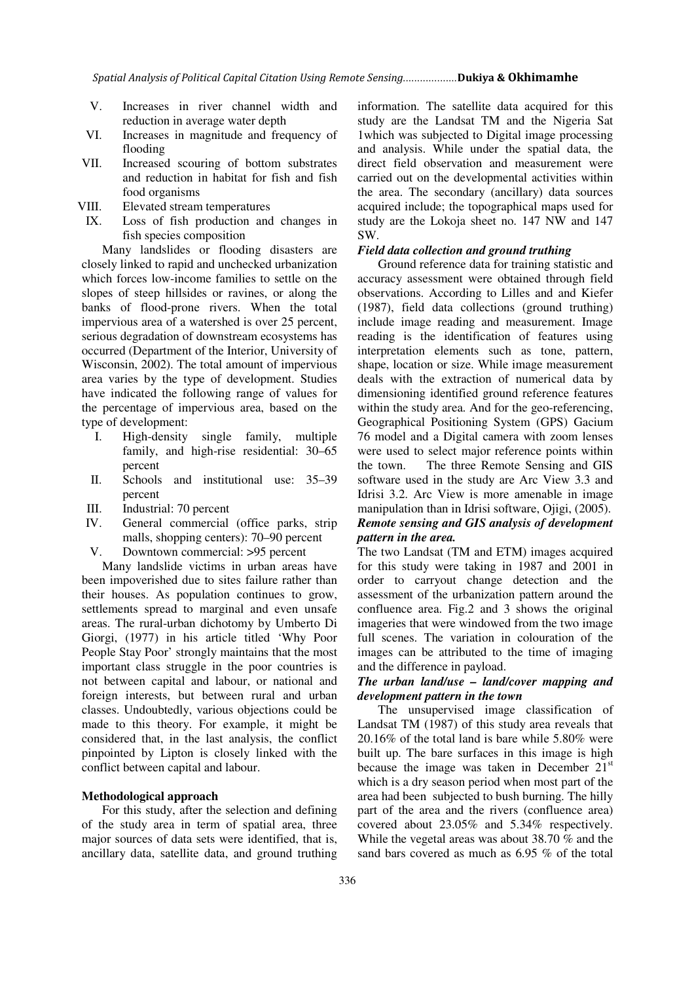- V. Increases in river channel width and reduction in average water depth
- VI. Increases in magnitude and frequency of flooding
- VII. Increased scouring of bottom substrates and reduction in habitat for fish and fish food organisms
- VIII. Elevated stream temperatures
- IX. Loss of fish production and changes in fish species composition

Many landslides or flooding disasters are closely linked to rapid and unchecked urbanization which forces low-income families to settle on the slopes of steep hillsides or ravines, or along the banks of flood-prone rivers. When the total impervious area of a watershed is over 25 percent, serious degradation of downstream ecosystems has occurred (Department of the Interior, University of Wisconsin, 2002). The total amount of impervious area varies by the type of development. Studies have indicated the following range of values for the percentage of impervious area, based on the type of development:

- I. High-density single family, multiple family, and high-rise residential: 30–65 percent
- II. Schools and institutional use: 35–39 percent
- III. Industrial: 70 percent
- IV. General commercial (office parks, strip malls, shopping centers): 70–90 percent
- V. Downtown commercial: >95 percent

Many landslide victims in urban areas have been impoverished due to sites failure rather than their houses. As population continues to grow, settlements spread to marginal and even unsafe areas. The rural-urban dichotomy by Umberto Di Giorgi, (1977) in his article titled 'Why Poor People Stay Poor' strongly maintains that the most important class struggle in the poor countries is not between capital and labour, or national and foreign interests, but between rural and urban classes. Undoubtedly, various objections could be made to this theory. For example, it might be considered that, in the last analysis, the conflict pinpointed by Lipton is closely linked with the conflict between capital and labour.

## **Methodological approach**

For this study, after the selection and defining of the study area in term of spatial area, three major sources of data sets were identified, that is, ancillary data, satellite data, and ground truthing information. The satellite data acquired for this study are the Landsat TM and the Nigeria Sat 1which was subjected to Digital image processing and analysis. While under the spatial data, the direct field observation and measurement were carried out on the developmental activities within the area. The secondary (ancillary) data sources acquired include; the topographical maps used for study are the Lokoja sheet no. 147 NW and 147 SW.

# *Field data collection and ground truthing*

Ground reference data for training statistic and accuracy assessment were obtained through field observations. According to Lilles and and Kiefer (1987), field data collections (ground truthing) include image reading and measurement. Image reading is the identification of features using interpretation elements such as tone, pattern, shape, location or size. While image measurement deals with the extraction of numerical data by dimensioning identified ground reference features within the study area. And for the geo-referencing, Geographical Positioning System (GPS) Gacium 76 model and a Digital camera with zoom lenses were used to select major reference points within the town. The three Remote Sensing and GIS software used in the study are Arc View 3.3 and Idrisi 3.2. Arc View is more amenable in image manipulation than in Idrisi software, Ojigi, (2005). *Remote sensing and GIS analysis of development pattern in the area.*

The two Landsat (TM and ETM) images acquired for this study were taking in 1987 and 2001 in order to carryout change detection and the assessment of the urbanization pattern around the confluence area. Fig.2 and 3 shows the original imageries that were windowed from the two image full scenes. The variation in colouration of the images can be attributed to the time of imaging and the difference in payload.

# *The urban land/use – land/cover mapping and development pattern in the town*

The unsupervised image classification of Landsat TM (1987) of this study area reveals that 20.16% of the total land is bare while 5.80% were built up. The bare surfaces in this image is high because the image was taken in December  $21<sup>st</sup>$ which is a dry season period when most part of the area had been subjected to bush burning. The hilly part of the area and the rivers (confluence area) covered about 23.05% and 5.34% respectively. While the vegetal areas was about 38.70 % and the sand bars covered as much as 6.95 % of the total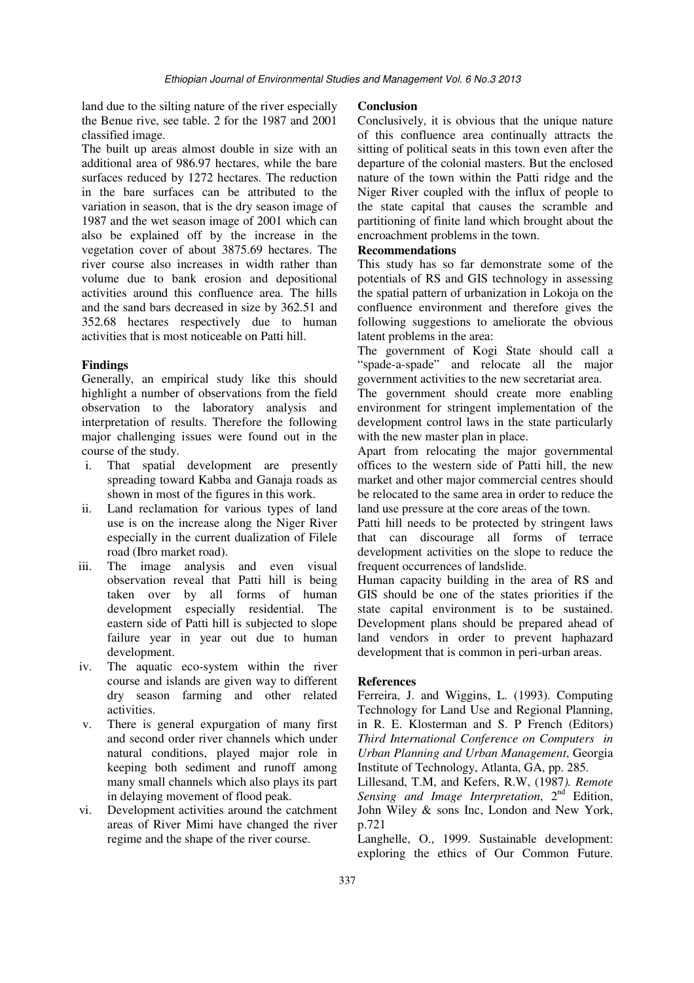land due to the silting nature of the river especially the Benue rive, see table. 2 for the 1987 and 2001 classified image.

The built up areas almost double in size with an additional area of 986.97 hectares, while the bare surfaces reduced by 1272 hectares. The reduction in the bare surfaces can be attributed to the variation in season, that is the dry season image of 1987 and the wet season image of 2001 which can also be explained off by the increase in the vegetation cover of about 3875.69 hectares. The river course also increases in width rather than volume due to bank erosion and depositional activities around this confluence area. The hills and the sand bars decreased in size by 362.51 and 352.68 hectares respectively due to human activities that is most noticeable on Patti hill.

## **Findings**

Generally, an empirical study like this should highlight a number of observations from the field observation to the laboratory analysis and interpretation of results. Therefore the following major challenging issues were found out in the course of the study.

- i. That spatial development are presently spreading toward Kabba and Ganaja roads as shown in most of the figures in this work.
- ii. Land reclamation for various types of land use is on the increase along the Niger River especially in the current dualization of Filele road (Ibro market road).
- iii. The image analysis and even visual observation reveal that Patti hill is being taken over by all forms of human development especially residential. The eastern side of Patti hill is subjected to slope failure year in year out due to human development.
- iv. The aquatic eco-system within the river course and islands are given way to different dry season farming and other related activities.
- v. There is general expurgation of many first and second order river channels which under natural conditions, played major role in keeping both sediment and runoff among many small channels which also plays its part in delaying movement of flood peak.
- vi. Development activities around the catchment areas of River Mimi have changed the river regime and the shape of the river course.

#### **Conclusion**

Conclusively, it is obvious that the unique nature of this confluence area continually attracts the sitting of political seats in this town even after the departure of the colonial masters. But the enclosed nature of the town within the Patti ridge and the Niger River coupled with the influx of people to the state capital that causes the scramble and partitioning of finite land which brought about the encroachment problems in the town.

# **Recommendations**

This study has so far demonstrate some of the potentials of RS and GIS technology in assessing the spatial pattern of urbanization in Lokoja on the confluence environment and therefore gives the following suggestions to ameliorate the obvious latent problems in the area:

The government of Kogi State should call a "spade-a-spade" and relocate all the major government activities to the new secretariat area.

The government should create more enabling environment for stringent implementation of the development control laws in the state particularly with the new master plan in place.

Apart from relocating the major governmental offices to the western side of Patti hill, the new market and other major commercial centres should be relocated to the same area in order to reduce the land use pressure at the core areas of the town.

Patti hill needs to be protected by stringent laws that can discourage all forms of terrace development activities on the slope to reduce the frequent occurrences of landslide.

Human capacity building in the area of RS and GIS should be one of the states priorities if the state capital environment is to be sustained. Development plans should be prepared ahead of land vendors in order to prevent haphazard development that is common in peri-urban areas.

### **References**

Ferreira, J. and Wiggins, L. (1993). Computing Technology for Land Use and Regional Planning, in R. E. Klosterman and S. P French (Editors) *Third International Conference on Computers in Urban Planning and Urban Management*, Georgia Institute of Technology, Atlanta, GA, pp. 285.

Lillesand, T.M, and Kefers, R.W, (1987*). Remote Sensing and Image Interpretation*, 2nd Edition, John Wiley & sons Inc, London and New York, p.721

Langhelle, O., 1999. Sustainable development: exploring the ethics of Our Common Future.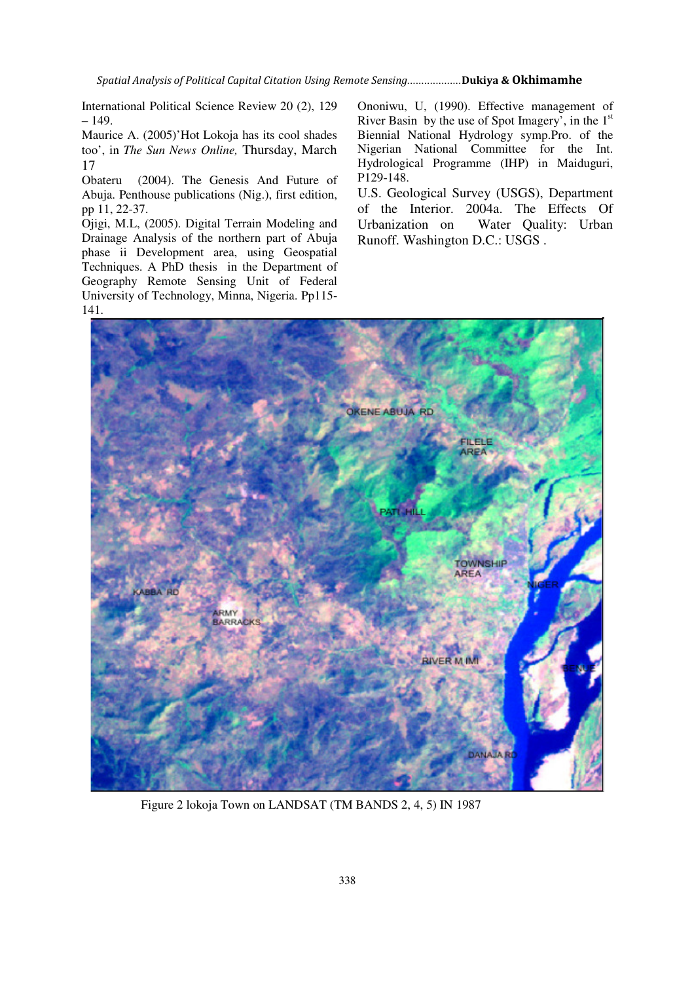Spatial Analysis of Political Capital Citation Using Remote Sensing*...................*Dukiya & Okhimamhe

International Political Science Review 20 (2), 129 – 149.

Maurice A. (2005)'Hot Lokoja has its cool shades too', in *The Sun News Online,* Thursday, March 17

Obateru (2004). The Genesis And Future of Abuja. Penthouse publications (Nig.), first edition, pp 11, 22-37.

Ojigi, M.L, (2005). Digital Terrain Modeling and Drainage Analysis of the northern part of Abuja phase ii Development area, using Geospatial Techniques. A PhD thesis in the Department of Geography Remote Sensing Unit of Federal University of Technology, Minna, Nigeria. Pp115- 141.

Ononiwu, U, (1990). Effective management of River Basin by the use of Spot Imagery', in the  $1<sup>st</sup>$ Biennial National Hydrology symp.Pro. of the Nigerian National Committee for the Int. Hydrological Programme (IHP) in Maiduguri, P129-148.

U.S. Geological Survey (USGS), Department of the Interior. 2004a. The Effects Of Urbanization on Water Quality: Urban Runoff. Washington D.C.: USGS .



Figure 2 lokoja Town on LANDSAT (TM BANDS 2, 4, 5) IN 1987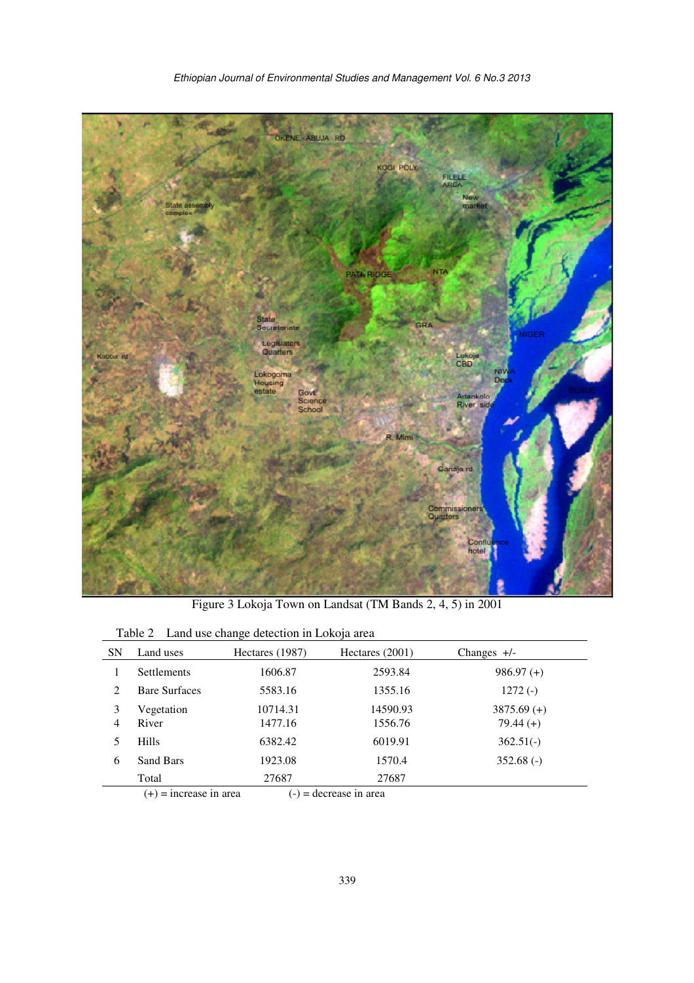

Figure 3 Lokoja Town on Landsat (TM Bands 2, 4, 5) in 2001

| SΝ            | Land uses            | Hectares (1987)     | Hectares (2001)     | Changes $+/-$               |
|---------------|----------------------|---------------------|---------------------|-----------------------------|
|               | <b>Settlements</b>   | 1606.87             | 2593.84             | $986.97 (+)$                |
| $\mathcal{L}$ | <b>Bare Surfaces</b> | 5583.16             | 1355.16             | $1272(-)$                   |
| 3<br>4        | Vegetation<br>River  | 10714.31<br>1477.16 | 14590.93<br>1556.76 | $3875.69 (+)$<br>$79.44(+)$ |
| 5             | <b>Hills</b>         | 6382.42             | 6019.91             | $362.51(-)$                 |
| 6             | <b>Sand Bars</b>     | 1923.08             | 1570.4              | $352.68(-)$                 |
|               | Total                | 27687               | 27687               |                             |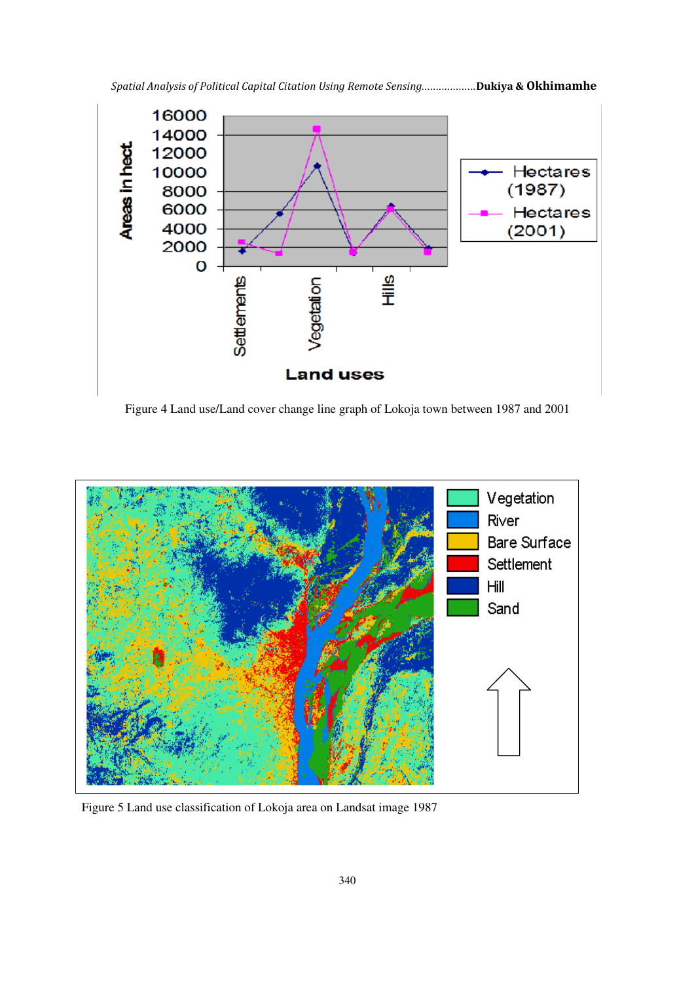Spatial Analysis of Political Capital Citation Using Remote Sensing*...................*Dukiya & Okhimamhe



Figure 4 Land use/Land cover change line graph of Lokoja town between 1987 and 2001



Figure 5 Land use classification of Lokoja area on Landsat image 1987